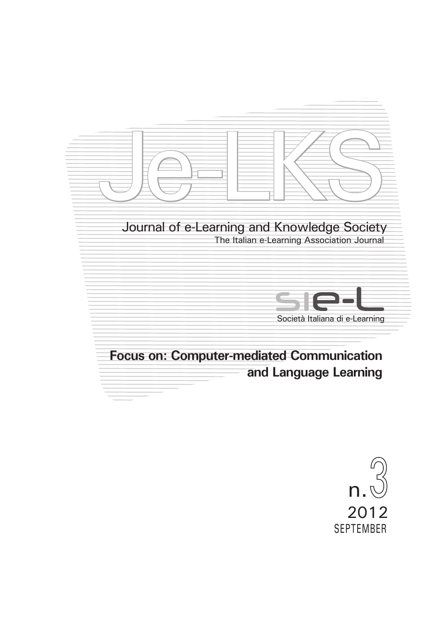

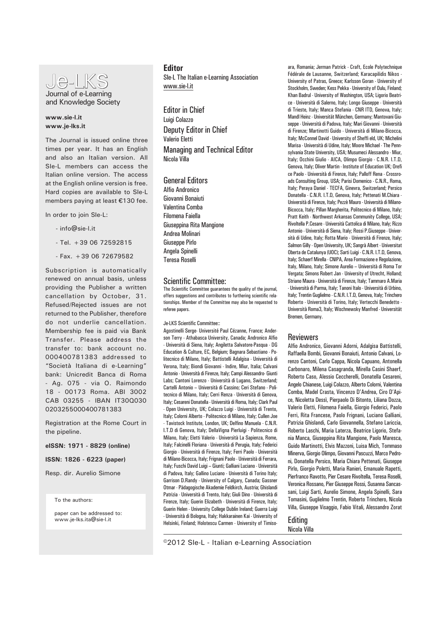

## **www.sie-l.it www.je-lks.it**

The Journal is issued online three times per year. It has an English and also an Italian version. All SIe-L members can access the Italian online version. The access at the English online version is free. Hard copies are available to SIe-L members paying at least €130 fee.

In order to join SIe-L:

- info@sie-l.it
- Tel. +39 06 72592815
- $Fay + 390672679582$

Subscription is automatically renewed on annual basis, unless providing the Publisher a written cancellation by October, 31. Refused/Rejected issues are not returned to the Publisher, therefore do not underlie cancellation. Membership fee is paid via Bank Transfer. Please address the transfer to: bank account no. 000400781383 addressed to "Società Italiana di e-Learning" bank: Unicredit Banca di Roma - Ag. 075 - via O. Raimondo 18 - 00173 Roma. ABI 3002 CAB 03255 - IBAN IT30Q030 0203255000400781383

Registration at the Rome Court in the pipeline.

**eISSN: 1971 - 8829 (online)**

**ISSN: 1826 - 6223 (paper)**

Resp. dir. Aurelio Simone

To the authors:

paper can be addressed to: www.je-lks.ita@sie-l.it

## **Editor**

SIe-L The Italian e-Learning Association www.sie-l.it

Editor in Chief Luigi Colazzo Deputy Editor in Chief Valerio Eletti Managing and Technical Editor Nicola Villa

# General Editors

Alfio Andronico Giovanni Bonaiuti Valentina Comba Filomena Faiella Giuseppina Rita Mangione Andrea Molinari Giuseppe Pirlo Angela Spinelli Teresa Roselli

#### Scientific Committee:

The Scientific Committee guarantees the quality of the journal, offers suggestions and contributes to furthering scientific relationships. Member of the Committee may also be requested to referee papers.

Je-LKS Scientific Committee::

Agostinelli Serge- Université Paul Cézanne, France; Anderson Terry - Athabasca University, Canada; Andronico Alfio - Università di Siena, Italy; Angiletta Salvatore-Pasqua - DG Education & Culture, EC, Belgium; Bagnara Sebastiano - Politecnico di Milano, Italy; Battistelli Adalgisa - Università di Verona, Italy; Biondi Giovanni - Indire, Miur, Italia; Calvani Antonio - Università di Firenze, Italy; Campi Alessandro- Giunti Labs; Cantoni Lorenzo - Università di Lugano, Switzerland; Cartelli Antonio – Università di Cassino; Ceri Stefano - Politecnico di Milano, Italy; Cerri Renza - Università di Genova, Italy; Cesareni Donatella - Università di Roma, Italy; Clark Paul - Open University, UK; Colazzo Luigi - Università di Trento, Italy; Colorni Alberto - Politecnico di Milano, Italy; Cullen Joe - Tavistock Institute, London, UK; Delfino Manuela - C.N.R. I.T.D di Genova, Italy; DellaVigna Pierluigi - Politecnico di Milano, Italy; Eletti Valerio - Università La Sapienza, Rome, Italy; Falcinelli Floriana - Università di Perugia, Italy; Federici Giorgio - Università di Firenze, Italy; Ferri Paolo - Università di Milano-Bicocca, Italy; Frignani Paolo - Università di Ferrara, Italy; Fuschi David Luigi – Giunti; Galliani Luciano - Università di Padova, Italy; Gallino Luciano - Università di Torino Italy; Garrison D.Randy - University of Calgary, Canada; Gassner Otmar - Pädagogische Akademie Feldkirch, Austria; Ghislandi Patrizia - Università di Trento, Italy; Giuli Dino - Università di Firenze, Italy; Guerin Elizabeth - Università di Firenze, Italy; Guerin Helen - University College Dublin Ireland; Guerra Luigi - Università di Bologna, Italy; Hakkarainen Kai - University of Helsinki, Finland; Holotescu Carmen - University of Timiso-

ara, Romania; Jerman Patrick - Craft, Ecole Polytechnique Fédérale de Lausanne, Switzerland; Karacapilidis Nikos - University of Patras, Greece; Karlsson Goran - University of Stockholm, Sweden; Kess Pekka - University of Oulu, Finland; Khan Badrul - University of Washington, USA; Ligorio Beatrice - Università di Salerno, Italy; Longo Giuseppe - Università di Trieste, Italy; Manca Stefania - CNR ITD, Genova, Italy; Mandl Heinz - Universität München, Germany; Mantovani Giuseppe - Università di Padova, Italy; Mari Giovanni - Università di Firenze; Martinotti Guido - Università di Milano-Bicocca, Italy; McConnel David - University of Sheffi eld, UK; Michelini Marisa - Università di Udine, Italy; Moore Michael - The Pennsylvania State University, USA; Musumeci Alessandro - Miur, Italy; Occhini Giulio - AICA, Olimpo Giorgio - C.N.R. I.T.D, Genova, Italy; Oliver Martin - Institute of Education UK; Orefi ce Paolo - Università di Firenze, Italy; Palloff Rena - Crossroads Consulting Group, USA; Parisi Domenico - C.N.R., Roma, Italy; Peraya Daniel - TECFA, Ginevra, Switzerland; Persico Donatella - C.N.R. I.T.D, Genova, Italy; Pettenati M.Chiara - Università di Firenze, Italy; Pezzè Mauro - Università di Milano-Bicocca, Italy; Pillan Margherita, Politecnico di Milano, Italy; Pratt Keith - Northwest Arkansas Community College, USA; Rivoltella P.Cesare - Università Cattolica di Milano, Italy; Rizzo Antonio - Università di Siena, Italy; Rossi P.Giuseppe - Università di Udine, Italy; Rotta Mario - Università di Firenze, Italy; Salmon Gilly - Open University, UK; Sangrà Albert - Universitat Oberta de Catalunya (UOC); Sarti Luigi - C.N.R. I.T.D, Genova, Italy; Schaerf Mirella - CNIPA, Area Formazione e Regolazione, Italy, Milano, Italy; Simone Aurelio – Università di Roma Tor Vergata; Simons Robert Jan - University of Utrecht, Holland; Striano Maura - Università di Firenze, Italy; Tammaro A.Maria - Università di Parma, Italy; Tanoni Italo - Università di Urbino, Italy: Trentin Guglielmo - C.N.R. I.T.D. Genova, Italy: Trinchero Roberto - Università di Torino, Italy; Vertecchi Benedetto - Università Roma3, Italy; Wischnewsky Manfred - Universität Bremen, Germany.

# Reviewers

Alfio Andronico, Giovanni Adorni, Adalgisa Battistelli, Raffaella Bombi, Giovanni Bonaiuti, Antonio Calvani, Lorenzo Cantoni, Carlo Cappa, Nicola Capuano, Antonella Carbonaro, Milena Casagranda, Mirella Casini Shaerf, Roberto Caso, Alessio Ceccherelli, Donatella Cesareni, Angelo Chianese, Luigi Colazzo, Alberto Colorni, Valentina Comba, Madel Crasta, Vincenzo D'Andrea, Ciro D'Apice, Nicoletta Dessì, Pierpaolo Di Bitonto, Liliana Dozza, Valerio Eletti, Filomena Faiella, Giorgio Federici, Paolo Ferri, Rita Francese, Paolo Frignani, Luciano Galliani, Patrizia Ghislandi, Carlo Giovannella, Stefano Lariccia, Roberto Laschi, Maria Laterza, Beatrice Ligorio, Stefania Manca, Giuseppina Rita Mangione, Paolo Maresca, Guido Martinotti, Elvis Mazzoni, Luisa Mich, Tommaso Minerva, Giorgio Olimpo, Giovanni Pascuzzi, Marco Pedroni, Donatella Persico, Maria Chiara Pettenati, Giuseppe Pirlo, Giorgio Poletti, Maria Ranieri, Emanuale Rapetti, Pierfranco Ravotto, Pier Cesare Rivoltella, Teresa Roselli, Veronica Rossano, Pier Giuseppe Rossi, Susanna Sancassani, Luigi Sarti, Aurelio Simone, Angela Spinelli, Sara Tomasini, Guglielmo Trentin, Roberto Trinchero, Nicola Villa, Giuseppe Visaggio, Fabio Vitali, Alessandro Zorat

Editing Nicola Villa

©2012 SIe-L - Italian e-Learning Association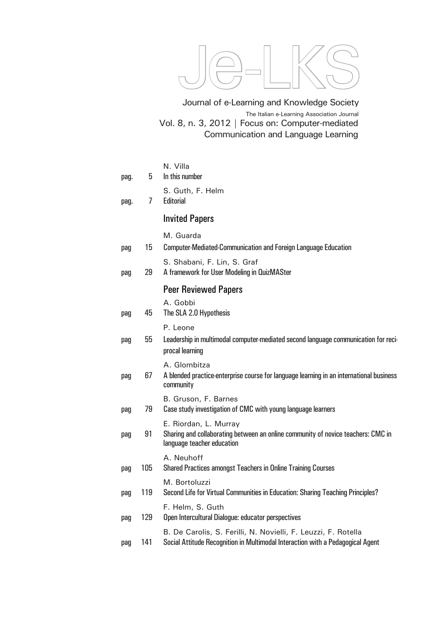

Vol. 8, n. 3, 2012 | Focus on: Computer-mediated Communication and Language Learning Journal of e-Learning and Knowledge Society The Italian e-Learning Association Journal

| pag. | 5   | N. Villa<br>In this number                                                                                                                      |
|------|-----|-------------------------------------------------------------------------------------------------------------------------------------------------|
| pag. | 7   | S. Guth, F. Helm<br>Editorial                                                                                                                   |
|      |     | <b>Invited Papers</b>                                                                                                                           |
| pag  | 15  | M. Guarda<br><b>Computer-Mediated-Communication and Foreign Language Education</b>                                                              |
| pag  | 29  | S. Shabani, F. Lin, S. Graf<br>A framework for User Modeling in QuizMASter                                                                      |
|      |     | <b>Peer Reviewed Papers</b>                                                                                                                     |
| pag  | 45  | A. Gobbi<br>The SLA 2.0 Hypothesis                                                                                                              |
|      |     | P. Leone                                                                                                                                        |
| pag  | 55  | Leadership in multimodal computer-mediated second language communication for reci-<br>procal learning                                           |
| pag  | 67  | A. Glombitza<br>A blended practice enterprise course for language learning in an international business<br>community                            |
| pag  | 79  | B. Gruson, F. Barnes<br>Case study investigation of CMC with young language learners                                                            |
| pag  | 91  | E. Riordan, L. Murray<br>Sharing and collaborating between an online community of novice teachers: CMC in<br>language teacher education         |
| pag  | 105 | A. Neuhoff<br>Shared Practices amongst Teachers in Online Training Courses                                                                      |
| pag  | 119 | M. Bortoluzzi<br>Second Life for Virtual Communities in Education: Sharing Teaching Principles?                                                 |
| pag  | 129 | F. Helm, S. Guth<br>Open Intercultural Dialogue: educator perspectives                                                                          |
| pag  | 141 | B. De Carolis, S. Ferilli, N. Novielli, F. Leuzzi, F. Rotella<br>Social Attitude Recognition in Multimodal Interaction with a Pedagogical Agent |